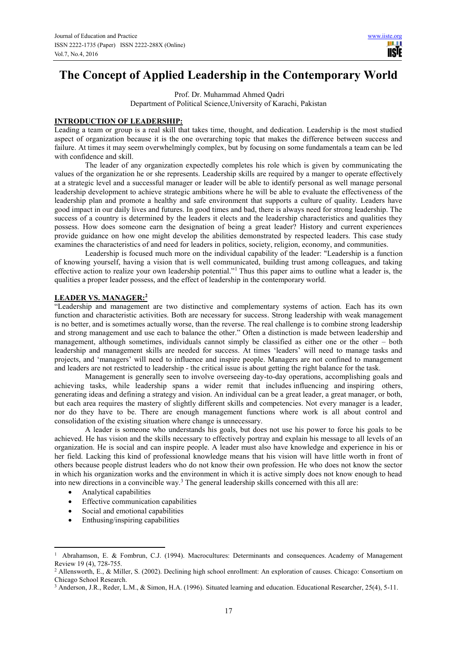ШI **IISTE** 

# **The Concept of Applied Leadership in the Contemporary World**

 Prof. Dr. Muhammad Ahmed Qadri Department of Political Science,University of Karachi, Pakistan

## **INTRODUCTION OF LEADERSHIP:**

Leading a team or group is a real skill that takes time, thought, and dedication. Leadership is the most studied aspect of organization because it is the one overarching topic that makes the difference between success and failure. At times it may seem overwhelmingly complex, but by focusing on some fundamentals a team can be led with confidence and skill.

The leader of any organization expectedly completes his role which is given by communicating the values of the organization he or she represents. Leadership skills are required by a manger to operate effectively at a strategic level and a successful manager or leader will be able to identify personal as well manage personal leadership development to achieve strategic ambitions where he will be able to evaluate the effectiveness of the leadership plan and promote a healthy and safe environment that supports a culture of quality. Leaders have good impact in our daily lives and futures. In good times and bad, there is always need for strong leadership. The success of a country is determined by the leaders it elects and the leadership characteristics and qualities they possess. How does someone earn the designation of being a great leader? History and current experiences provide guidance on how one might develop the abilities demonstrated by respected leaders. This case study examines the characteristics of and need for leaders in politics, society, religion, economy, and communities.

Leadership is focused much more on the individual capability of the leader: "Leadership is a function of knowing yourself, having a vision that is well communicated, building trust among colleagues, and taking effective action to realize your own leadership potential."<sup>1</sup> Thus this paper aims to outline what a leader is, the qualities a proper leader possess, and the effect of leadership in the contemporary world.

## **LEADER VS. MANAGER:<sup>2</sup>**

"Leadership and management are two distinctive and complementary systems of action. Each has its own function and characteristic activities. Both are necessary for success. Strong leadership with weak management is no better, and is sometimes actually worse, than the reverse. The real challenge is to combine strong leadership and strong management and use each to balance the other." Often a distinction is made between leadership and management, although sometimes, individuals cannot simply be classified as either one or the other – both leadership and management skills are needed for success. At times 'leaders' will need to manage tasks and projects, and 'managers' will need to influence and inspire people. Managers are not confined to management and leaders are not restricted to leadership - the critical issue is about getting the right balance for the task.

Management is generally seen to involve overseeing day-to-day operations, accomplishing goals and achieving tasks, while leadership spans a wider remit that includes influencing and inspiring others, generating ideas and defining a strategy and vision. An individual can be a great leader, a great manager, or both, but each area requires the mastery of slightly different skills and competencies. Not every manager is a leader, nor do they have to be. There are enough management functions where work is all about control and consolidation of the existing situation where change is unnecessary.

A leader is someone who understands his goals, but does not use his power to force his goals to be achieved. He has vision and the skills necessary to effectively portray and explain his message to all levels of an organization. He is social and can inspire people. A leader must also have knowledge and experience in his or her field. Lacking this kind of professional knowledge means that his vision will have little worth in front of others because people distrust leaders who do not know their own profession. He who does not know the sector in which his organization works and the environment in which it is active simply does not know enough to head into new directions in a convincible way.<sup>3</sup> The general leadership skills concerned with this all are:

• Analytical capabilities

 $\overline{a}$ 

- Effective communication capabilities
- Social and emotional capabilities
- Enthusing/inspiring capabilities

<sup>1</sup> Abrahamson, E. & Fombrun, C.J. (1994). Macrocultures: Determinants and consequences. Academy of Management Review 19 (4), 728-755.

<sup>&</sup>lt;sup>2</sup> Allensworth, E., & Miller, S. (2002). Declining high school enrollment: An exploration of causes. Chicago: Consortium on Chicago School Research.

<sup>3</sup> Anderson, J.R., Reder, L.M., & Simon, H.A. (1996). Situated learning and education. Educational Researcher, 25(4), 5-11.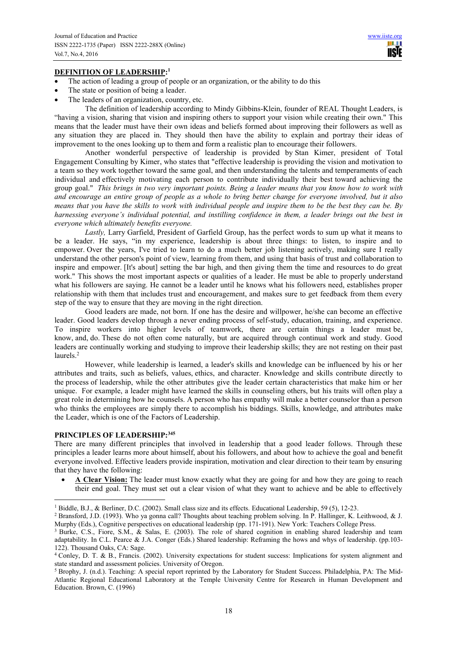## **DEFINITION OF LEADERSHIP:<sup>1</sup>**

- The action of leading a group of people or an organization, or the ability to do this
- The state or position of being a leader.
- The leaders of an organization, country, etc.

The definition of leadership according to Mindy Gibbins-Klein, founder of REAL Thought Leaders, is "having a vision, sharing that vision and inspiring others to support your vision while creating their own." This means that the leader must have their own ideas and beliefs formed about improving their followers as well as any situation they are placed in. They should then have the ability to explain and portray their ideas of improvement to the ones looking up to them and form a realistic plan to encourage their followers.

Another wonderful perspective of leadership is provided by Stan Kimer, president of Total Engagement Consulting by Kimer, who states that "effective leadership is providing the vision and motivation to a team so they work together toward the same goal, and then understanding the talents and temperaments of each individual and effectively motivating each person to contribute individually their best toward achieving the group goal." *This brings in two very important points. Being a leader means that you know how to work with and encourage an entire group of people as a whole to bring better change for everyone involved, but it also means that you have the skills to work with individual people and inspire them to be the best they can be. By harnessing everyone's individual potential, and instilling confidence in them, a leader brings out the best in everyone which ultimately benefits everyone.*

*Lastly,* Larry Garfield, President of Garfield Group, has the perfect words to sum up what it means to be a leader. He says, "in my experience, leadership is about three things: to listen, to inspire and to empower. Over the years, I've tried to learn to do a much better job listening actively, making sure I really understand the other person's point of view, learning from them, and using that basis of trust and collaboration to inspire and empower. [It's about] setting the bar high, and then giving them the time and resources to do great work." This shows the most important aspects or qualities of a leader. He must be able to properly understand what his followers are saying. He cannot be a leader until he knows what his followers need, establishes proper relationship with them that includes trust and encouragement, and makes sure to get feedback from them every step of the way to ensure that they are moving in the right direction.

Good leaders are made, not born. If one has the desire and willpower, he/she can become an effective leader. Good leaders develop through a never ending process of self-study, education, training, and experience. To inspire workers into higher levels of teamwork, there are certain things a leader must be, know, and, do. These do not often come naturally, but are acquired through continual work and study. Good leaders are continually working and studying to improve their leadership skills; they are not resting on their past laurels.<sup>2</sup>

However, while leadership is learned, a leader's skills and knowledge can be influenced by his or her attributes and traits, such as beliefs, values, ethics, and character. Knowledge and skills contribute directly to the process of leadership, while the other attributes give the leader certain characteristics that make him or her unique. For example, a leader might have learned the skills in counseling others, but his traits will often play a great role in determining how he counsels. A person who has empathy will make a better counselor than a person who thinks the employees are simply there to accomplish his biddings. Skills, knowledge, and attributes make the Leader, which is one of the Factors of Leadership.

#### **PRINCIPLES OF LEADERSHIP:<sup>345</sup>**

There are many different principles that involved in leadership that a good leader follows. Through these principles a leader learns more about himself, about his followers, and about how to achieve the goal and benefit everyone involved. Effective leaders provide inspiration, motivation and clear direction to their team by ensuring that they have the following:

· **A Clear Vision:** The leader must know exactly what they are going for and how they are going to reach their end goal. They must set out a clear vision of what they want to achieve and be able to effectively

 1 Biddle, B.J., & Berliner, D.C. (2002). Small class size and its effects. Educational Leadership, 59 (5), 12-23.

<sup>&</sup>lt;sup>2</sup> Bransford, J.D. (1993). Who ya gonna call? Thoughts about teaching problem solving. In P. Hallinger, K. Leithwood, & J. Murphy (Eds.), Cognitive perspectives on educational leadership (pp. 171-191). New York: Teachers College Press.

<sup>&</sup>lt;sup>3</sup> Burke, C.S., Fiore, S.M., & Salas, E. (2003). The role of shared cognition in enabling shared leadership and team adaptability. In C.L. Pearce & J.A. Conger (Eds.) Shared leadership: Reframing the hows and whys of leadership. (pp.103- 122). Thousand Oaks, CA: Sage.

<sup>4</sup> Conley, D. T. & B., Francis. (2002). University expectations for student success: Implications for system alignment and state standard and assessment policies. University of Oregon.

<sup>&</sup>lt;sup>5</sup> Brophy, J. (n.d.). Teaching: A special report reprinted by the Laboratory for Student Success. Philadelphia, PA: The Mid-Atlantic Regional Educational Laboratory at the Temple University Centre for Research in Human Development and Education. Brown, C. (1996)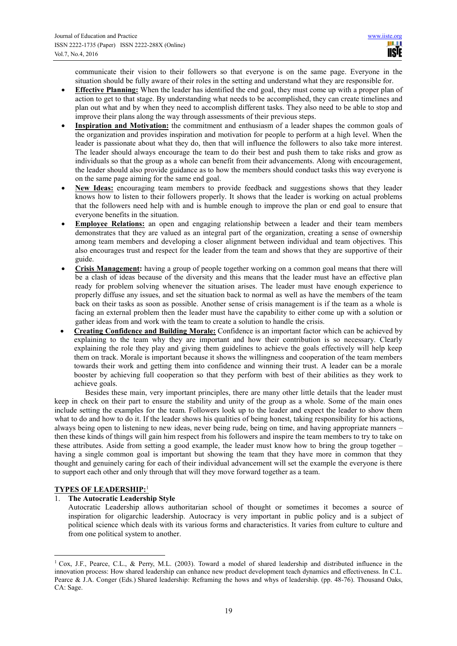communicate their vision to their followers so that everyone is on the same page. Everyone in the situation should be fully aware of their roles in the setting and understand what they are responsible for.

- **Effective Planning:** When the leader has identified the end goal, they must come up with a proper plan of action to get to that stage. By understanding what needs to be accomplished, they can create timelines and plan out what and by when they need to accomplish different tasks. They also need to be able to stop and improve their plans along the way through assessments of their previous steps.
- · **Inspiration and Motivation:** the commitment and enthusiasm of a leader shapes the common goals of the organization and provides inspiration and motivation for people to perform at a high level. When the leader is passionate about what they do, then that will influence the followers to also take more interest. The leader should always encourage the team to do their best and push them to take risks and grow as individuals so that the group as a whole can benefit from their advancements. Along with encouragement, the leader should also provide guidance as to how the members should conduct tasks this way everyone is on the same page aiming for the same end goal.
- New Ideas: encouraging team members to provide feedback and suggestions shows that they leader knows how to listen to their followers properly. It shows that the leader is working on actual problems that the followers need help with and is humble enough to improve the plan or end goal to ensure that everyone benefits in the situation.
- · **Employee Relations:** an open and engaging relationship between a leader and their team members demonstrates that they are valued as an integral part of the organization, creating a sense of ownership among team members and developing a closer alignment between individual and team objectives. This also encourages trust and respect for the leader from the team and shows that they are supportive of their guide.
- · **Crisis Management:** having a group of people together working on a common goal means that there will be a clash of ideas because of the diversity and this means that the leader must have an effective plan ready for problem solving whenever the situation arises. The leader must have enough experience to properly diffuse any issues, and set the situation back to normal as well as have the members of the team back on their tasks as soon as possible. Another sense of crisis management is if the team as a whole is facing an external problem then the leader must have the capability to either come up with a solution or gather ideas from and work with the team to create a solution to handle the crisis.
- · **Creating Confidence and Building Morale:** Confidence is an important factor which can be achieved by explaining to the team why they are important and how their contribution is so necessary. Clearly explaining the role they play and giving them guidelines to achieve the goals effectively will help keep them on track. Morale is important because it shows the willingness and cooperation of the team members towards their work and getting them into confidence and winning their trust. A leader can be a morale booster by achieving full cooperation so that they perform with best of their abilities as they work to achieve goals.

Besides these main, very important principles, there are many other little details that the leader must keep in check on their part to ensure the stability and unity of the group as a whole. Some of the main ones include setting the examples for the team. Followers look up to the leader and expect the leader to show them what to do and how to do it. If the leader shows his qualities of being honest, taking responsibility for his actions, always being open to listening to new ideas, never being rude, being on time, and having appropriate manners – then these kinds of things will gain him respect from his followers and inspire the team members to try to take on these attributes. Aside from setting a good example, the leader must know how to bring the group together – having a single common goal is important but showing the team that they have more in common that they thought and genuinely caring for each of their individual advancement will set the example the everyone is there to support each other and only through that will they move forward together as a team.

# **TYPES OF LEADERSHIP:**<sup>1</sup>

# 1. **The Autocratic Leadership Style**

Autocratic Leadership allows authoritarian school of thought or sometimes it becomes a source of inspiration for oligarchic leadership. Autocracy is very important in public policy and is a subject of political science which deals with its various forms and characteristics. It varies from culture to culture and from one political system to another.

<sup>&</sup>lt;sup>1</sup> Cox, J.F., Pearce, C.L., & Perry, M.L. (2003). Toward a model of shared leadership and distributed influence in the innovation process: How shared leadership can enhance new product development teach dynamics and effectiveness. In C.L. Pearce & J.A. Conger (Eds.) Shared leadership: Reframing the hows and whys of leadership. (pp. 48-76). Thousand Oaks, CA: Sage.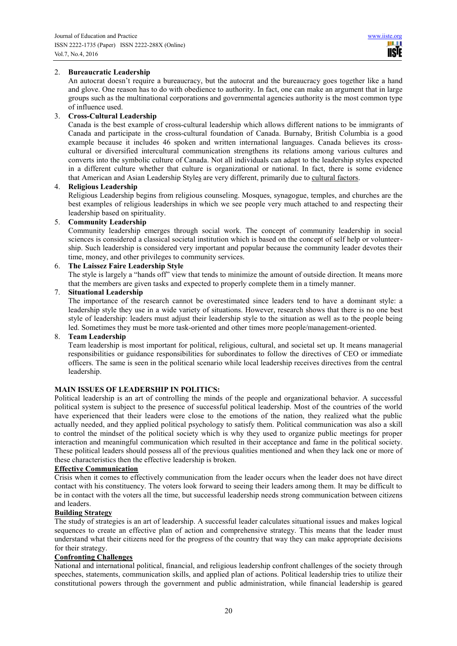## 2. **Bureaucratic Leadership**

An autocrat doesn't require a bureaucracy, but the autocrat and the bureaucracy goes together like a hand and glove. One reason has to do with obedience to authority. In fact, one can make an argument that in large groups such as the multinational corporations and governmental agencies authority is the most common type of influence used.

#### 3. **Cross-Cultural Leadership**

Canada is the best example of cross-cultural leadership which allows different nations to be immigrants of Canada and participate in the cross-cultural foundation of Canada. Burnaby, British Columbia is a good example because it includes 46 spoken and written international languages. Canada believes its crosscultural or diversified intercultural communication strengthens its relations among various cultures and converts into the symbolic culture of Canada. Not all individuals can adapt to the leadership styles expected in a different culture whether that culture is organizational or national. In fact, there is some evidence that American and Asian Leadership Styles are very different, primarily due to cultural factors.

#### 4. **Religious Leadership**

Religious Leadership begins from religious counseling. Mosques, synagogue, temples, and churches are the best examples of religious leaderships in which we see people very much attached to and respecting their leadership based on spirituality.

## 5. **Community Leadership**

Community leadership emerges through social work. The concept of community leadership in social sciences is considered a classical societal institution which is based on the concept of self help or volunteership. Such leadership is considered very important and popular because the community leader devotes their time, money, and other privileges to community services.

## 6. **The Laissez Faire Leadership Style**

The style is largely a "hands off" view that tends to minimize the amount of outside direction. It means more that the members are given tasks and expected to properly complete them in a timely manner.

#### 7. **Situational Leadership**

The importance of the research cannot be overestimated since leaders tend to have a dominant style: a leadership style they use in a wide variety of situations. However, research shows that there is no one best style of leadership: leaders must adjust their leadership style to the situation as well as to the people being led. Sometimes they must be more task-oriented and other times more people/management-oriented.

#### 8. **Team Leadership**

Team leadership is most important for political, religious, cultural, and societal set up. It means managerial responsibilities or guidance responsibilities for subordinates to follow the directives of CEO or immediate officers. The same is seen in the political scenario while local leadership receives directives from the central leadership.

## **MAIN ISSUES OF LEADERSHIP IN POLITICS:**

Political leadership is an art of controlling the minds of the people and organizational behavior. A successful political system is subject to the presence of successful political leadership. Most of the countries of the world have experienced that their leaders were close to the emotions of the nation, they realized what the public actually needed, and they applied political psychology to satisfy them. Political communication was also a skill to control the mindset of the political society which is why they used to organize public meetings for proper interaction and meaningful communication which resulted in their acceptance and fame in the political society. These political leaders should possess all of the previous qualities mentioned and when they lack one or more of these characteristics then the effective leadership is broken.

#### **Effective Communication**

Crisis when it comes to effectively communication from the leader occurs when the leader does not have direct contact with his constituency. The voters look forward to seeing their leaders among them. It may be difficult to be in contact with the voters all the time, but successful leadership needs strong communication between citizens and leaders.

#### **Building Strategy**

The study of strategies is an art of leadership. A successful leader calculates situational issues and makes logical sequences to create an effective plan of action and comprehensive strategy. This means that the leader must understand what their citizens need for the progress of the country that way they can make appropriate decisions for their strategy.

## **Confronting Challenges**

National and international political, financial, and religious leadership confront challenges of the society through speeches, statements, communication skills, and applied plan of actions. Political leadership tries to utilize their constitutional powers through the government and public administration, while financial leadership is geared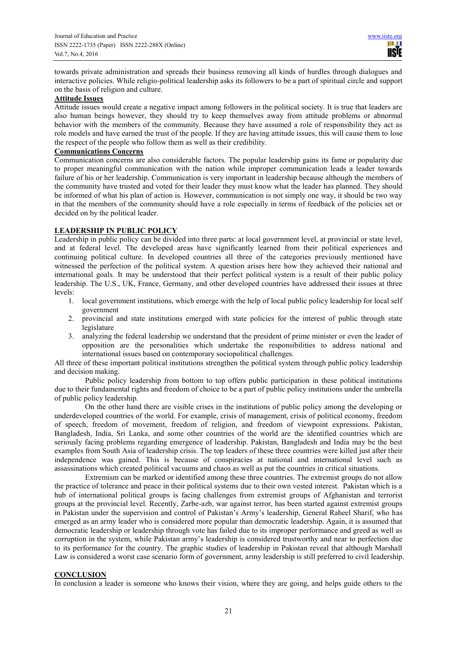towards private administration and spreads their business removing all kinds of hurdles through dialogues and interactive policies. While religio-political leadership asks its followers to be a part of spiritual circle and support on the basis of religion and culture.

## **Attitude Issues**

Attitude issues would create a negative impact among followers in the political society. It is true that leaders are also human beings however, they should try to keep themselves away from attitude problems or abnormal behavior with the members of the community. Because they have assumed a role of responsibility they act as role models and have earned the trust of the people. If they are having attitude issues, this will cause them to lose the respect of the people who follow them as well as their credibility.

#### **Communications Concerns**

Communication concerns are also considerable factors. The popular leadership gains its fame or popularity due to proper meaningful communication with the nation while improper communication leads a leader towards failure of his or her leadership. Communication is very important in leadership because although the members of the community have trusted and voted for their leader they must know what the leader has planned. They should be informed of what his plan of action is. However, communication is not simply one way, it should be two way in that the members of the community should have a role especially in terms of feedback of the policies set or decided on by the political leader.

## **LEADERSHIP IN PUBLIC POLICY**

Leadership in public policy can be divided into three parts: at local government level, at provincial or state level, and at federal level. The developed areas have significantly learned from their political experiences and continuing political culture. In developed countries all three of the categories previously mentioned have witnessed the perfection of the political system. A question arises here how they achieved their national and international goals. It may be understood that their perfect political system is a result of their public policy leadership. The U.S., UK, France, Germany, and other developed countries have addressed their issues at three levels:

- 1. local government institutions, which emerge with the help of local public policy leadership for local self government
- 2. provincial and state institutions emerged with state policies for the interest of public through state legislature
- 3. analyzing the federal leadership we understand that the president of prime minister or even the leader of opposition are the personalities which undertake the responsibilities to address national and international issues based on contemporary sociopolitical challenges.

All three of these important political institutions strengthen the political system through public policy leadership and decision making.

Public policy leadership from bottom to top offers public participation in these political institutions due to their fundamental rights and freedom of choice to be a part of public policy institutions under the umbrella of public policy leadership.

On the other hand there are visible crises in the institutions of public policy among the developing or underdeveloped countries of the world. For example, crisis of management, crisis of political economy, freedom of speech, freedom of movement, freedom of religion, and freedom of viewpoint expressions. Pakistan, Bangladesh, India, Sri Lanka, and some other countries of the world are the identified countries which are seriously facing problems regarding emergence of leadership. Pakistan, Bangladesh and India may be the best examples from South Asia of leadership crisis. The top leaders of these three countries were killed just after their independence was gained. This is because of conspiracies at national and international level such as assassinations which created political vacuums and chaos as well as put the countries in critical situations.

Extremism can be marked or identified among these three countries. The extremist groups do not allow the practice of tolerance and peace in their political systems due to their own vested interest. Pakistan which is a hub of international political groups is facing challenges from extremist groups of Afghanistan and terrorist groups at the provincial level. Recently, Zarbe-azb, war against terror, has been started against extremist groups in Pakistan under the supervision and control of Pakistan's Army's leadership, General Raheel Sharif, who has emerged as an army leader who is considered more popular than democratic leadership. Again, it is assumed that democratic leadership or leadership through vote has failed due to its improper performance and greed as well as corruption in the system, while Pakistan army's leadership is considered trustworthy and near to perfection due to its performance for the country. The graphic studies of leadership in Pakistan reveal that although Marshall Law is considered a worst case scenario form of government, army leadership is still preferred to civil leadership.

## **CONCLUSION**

In conclusion a leader is someone who knows their vision, where they are going, and helps guide others to the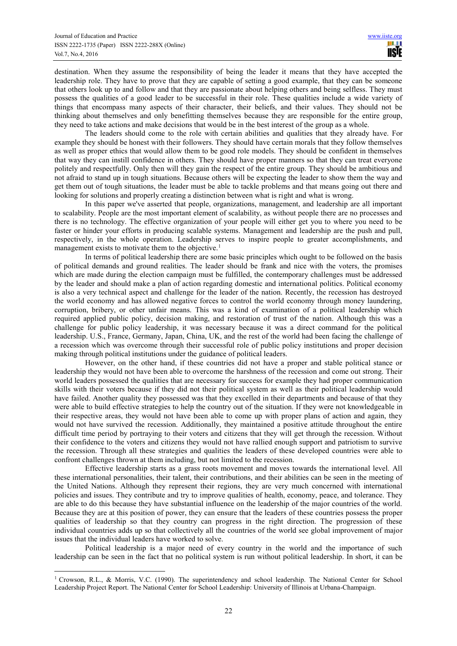destination. When they assume the responsibility of being the leader it means that they have accepted the leadership role. They have to prove that they are capable of setting a good example, that they can be someone that others look up to and follow and that they are passionate about helping others and being selfless. They must possess the qualities of a good leader to be successful in their role. These qualities include a wide variety of things that encompass many aspects of their character, their beliefs, and their values. They should not be thinking about themselves and only benefitting themselves because they are responsible for the entire group, they need to take actions and make decisions that would be in the best interest of the group as a whole.

The leaders should come to the role with certain abilities and qualities that they already have. For example they should be honest with their followers. They should have certain morals that they follow themselves as well as proper ethics that would allow them to be good role models. They should be confident in themselves that way they can instill confidence in others. They should have proper manners so that they can treat everyone politely and respectfully. Only then will they gain the respect of the entire group. They should be ambitious and not afraid to stand up in tough situations. Because others will be expecting the leader to show them the way and get them out of tough situations, the leader must be able to tackle problems and that means going out there and looking for solutions and properly creating a distinction between what is right and what is wrong.

In this paper we've asserted that people, organizations, management, and leadership are all important to scalability. People are the most important element of scalability, as without people there are no processes and there is no technology. The effective organization of your people will either get you to where you need to be faster or hinder your efforts in producing scalable systems. Management and leadership are the push and pull, respectively, in the whole operation. Leadership serves to inspire people to greater accomplishments, and management exists to motivate them to the objective.<sup>1</sup>

In terms of political leadership there are some basic principles which ought to be followed on the basis of political demands and ground realities. The leader should be frank and nice with the voters, the promises which are made during the election campaign must be fulfilled, the contemporary challenges must be addressed by the leader and should make a plan of action regarding domestic and international politics. Political economy is also a very technical aspect and challenge for the leader of the nation. Recently, the recession has destroyed the world economy and has allowed negative forces to control the world economy through money laundering, corruption, bribery, or other unfair means. This was a kind of examination of a political leadership which required applied public policy, decision making, and restoration of trust of the nation. Although this was a challenge for public policy leadership, it was necessary because it was a direct command for the political leadership. U.S., France, Germany, Japan, China, UK, and the rest of the world had been facing the challenge of a recession which was overcome through their successful role of public policy institutions and proper decision making through political institutions under the guidance of political leaders.

However, on the other hand, if these countries did not have a proper and stable political stance or leadership they would not have been able to overcome the harshness of the recession and come out strong. Their world leaders possessed the qualities that are necessary for success for example they had proper communication skills with their voters because if they did not their political system as well as their political leadership would have failed. Another quality they possessed was that they excelled in their departments and because of that they were able to build effective strategies to help the country out of the situation. If they were not knowledgeable in their respective areas, they would not have been able to come up with proper plans of action and again, they would not have survived the recession. Additionally, they maintained a positive attitude throughout the entire difficult time period by portraying to their voters and citizens that they will get through the recession. Without their confidence to the voters and citizens they would not have rallied enough support and patriotism to survive the recession. Through all these strategies and qualities the leaders of these developed countries were able to confront challenges thrown at them including, but not limited to the recession.

Effective leadership starts as a grass roots movement and moves towards the international level. All these international personalities, their talent, their contributions, and their abilities can be seen in the meeting of the United Nations. Although they represent their regions, they are very much concerned with international policies and issues. They contribute and try to improve qualities of health, economy, peace, and tolerance. They are able to do this because they have substantial influence on the leadership of the major countries of the world. Because they are at this position of power, they can ensure that the leaders of these countries possess the proper qualities of leadership so that they country can progress in the right direction. The progression of these individual countries adds up so that collectively all the countries of the world see global improvement of major issues that the individual leaders have worked to solve.

Political leadership is a major need of every country in the world and the importance of such leadership can be seen in the fact that no political system is run without political leadership. In short, it can be

 $\overline{a}$ <sup>1</sup> Crowson, R.L., & Morris, V.C. (1990). The superintendency and school leadership. The National Center for School Leadership Project Report. The National Center for School Leadership: University of Illinois at Urbana-Champaign.